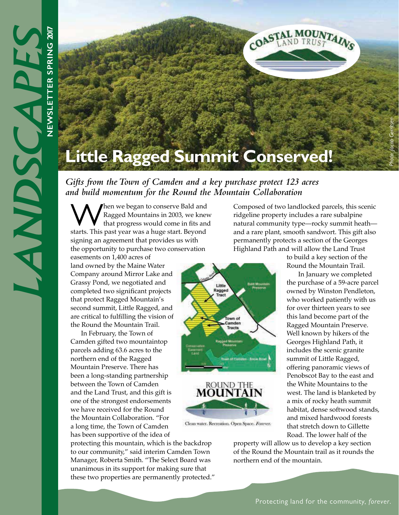

Little Ragged

> Town of Camden

ROUND THE **MOUNTAIN** 

Clean water. Recreation. Open Space. Forever.

*Gifts from the Town of Camden and a key purchase protect 123 acres and build momentum for the Round the Mountain Collaboration*

When we began to conserve Bald and Ragged Mountains in 2003, we knew that progress would come in fits and starts. This past year was a huge start. Beyond signing an agreement that provides us with the opportunity to purchase two conservation

easements on 1,400 acres of land owned by the Maine Water Company around Mirror Lake and Grassy Pond, we negotiated and completed two significant projects that protect Ragged Mountain's second summit, Little Ragged, and are critical to fulfilling the vision of the Round the Mountain Trail.

In February, the Town of Camden gifted two mountaintop parcels adding 63.6 acres to the northern end of the Ragged Mountain Preserve. There has been a long-standing partnership between the Town of Camden and the Land Trust, and this gift is one of the strongest endorsements we have received for the Round the Mountain Collaboration. "For a long time, the Town of Camden has been supportive of the idea of

protecting this mountain, which is the backdrop to our community," said interim Camden Town Manager, Roberta Smith. "The Select Board was unanimous in its support for making sure that these two properties are permanently protected." Composed of two landlocked parcels, this scenic ridgeline property includes a rare subalpine natural community type—rocky summit heath and a rare plant, smooth sandwort. This gift also permanently protects a section of the Georges Highland Path and will allow the Land Trust

to build a key section of the Round the Mountain Trail.

 In January we completed the purchase of a 59-acre parcel owned by Winston Pendleton, who worked patiently with us for over thirteen years to see this land become part of the Ragged Mountain Preserve. Well known by hikers of the Georges Highland Path, it includes the scenic granite summit of Little Ragged, offering panoramic views of Penobscot Bay to the east and the White Mountains to the west. The land is blanketed by a mix of rocky heath summit habitat, dense softwood stands, and mixed hardwood forests that stretch down to Gillette Road. The lower half of the

property will allow us to develop a key section of the Round the Mountain trail as it rounds the northern end of the mountain.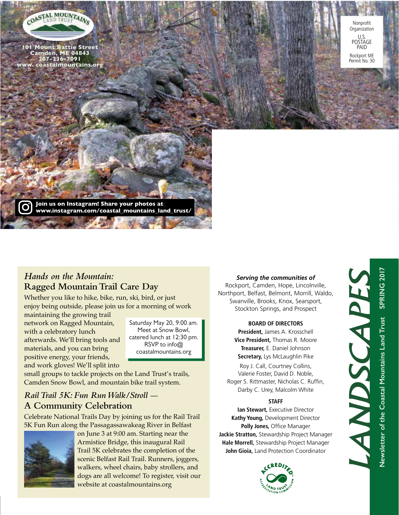

101 Mount Battie Street Camden, ME 04843 207-236-7091 ww. coastalmountains.org



Join us on Instagram! Share your photos at Join us on Instagram! Share your photos at www.instagram.com/coastal\_mountains\_land\_trust/ www.instagram.com/coastal\_mountains\_land\_trust/

### *Hands on the Mountain:*  **Ragged Mountain Trail Care Day**

Whether you like to hike, bike, run, ski, bird, or just enjoy being outside, please join us for a morning of work

maintaining the growing trail network on Ragged Mountain, with a celebratory lunch afterwards. We'll bring tools and materials, and you can bring positive energy, your friends, and work gloves! We'll split into

Saturday May 20, 9:00 am. Meet at Snow Bowl, catered lunch at 12:30 pm. RSVP to info@ coastalmountains.org

small groups to tackle projects on the Land Trust's trails, Camden Snow Bowl, and mountain bike trail system.

## *Rail Trail 5K: Fun Run Walk/Stroll —* **A Community Celebration**

Celebrate National Trails Day by joining us for the Rail Trail 5K Fun Run along the Passagassawakeag River in Belfast



on June 3 at 9:00 am. Starting near the Armistice Bridge, this inaugural Rail Trail 5K celebrates the completion of the scenic Belfast Rail Trail. Runners, joggers, walkers, wheel chairs, baby strollers, and dogs are all welcome! To register, visit our website at coastalmountains.org

### *Serving the communities of*

Rockport, Camden, Hope, Lincolnville, Northport, Belfast, Belmont, Morrill, Waldo, Swanville, Brooks, Knox, Searsport, Stockton Springs, and Prospect

### **BOARD OF DIRECTORS**

**President,** James A. Krosschell **Vice President,** Thomas R. Moore **Treasurer,** E. Daniel Johnson **Secretary,** Lys McLaughlin Pike

Roy J. Call, Courtney Collins, Valerie Foster, David D. Noble, Roger S. Rittmaster, Nicholas C. Ruffin, Darby C. Urey, Malcolm White

### **STAFF**

**Ian Stewart,** Executive Director **Kathy Young,** Development Director **Polly Jones,** Office Manager **Jackie Stratton,** Stewardship Project Manager **Hale Morrell,** Stewardship Project Manager **John Gioia,** Land Protection Coordinator



*LANDSCAPES*

ANDSCAPES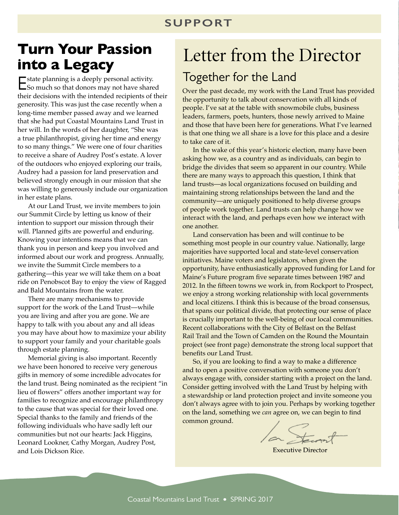## **SUPPORT**

# **Turn Your Passion into a Legacy**

Estate planning is a deeply personal activity. So much so that donors may not have shared their decisions with the intended recipients of their generosity. This was just the case recently when a long-time member passed away and we learned that she had put Coastal Mountains Land Trust in her will. In the words of her daughter, "She was a true philanthropist, giving her time and energy to so many things." We were one of four charities to receive a share of Audrey Post's estate. A lover of the outdoors who enjoyed exploring our trails, Audrey had a passion for land preservation and believed strongly enough in our mission that she was willing to generously include our organization in her estate plans.

At our Land Trust, we invite members to join our Summit Circle by letting us know of their intention to support our mission through their will. Planned gifts are powerful and enduring. Knowing your intentions means that we can thank you in person and keep you involved and informed about our work and progress. Annually, we invite the Summit Circle members to a gathering—this year we will take them on a boat ride on Penobscot Bay to enjoy the view of Ragged and Bald Mountains from the water.

There are many mechanisms to provide support for the work of the Land Trust—while you are living and after you are gone. We are happy to talk with you about any and all ideas you may have about how to maximize your ability to support your family and your charitable goals through estate planning.

Memorial giving is also important. Recently we have been honored to receive very generous gifts in memory of some incredible advocates for the land trust. Being nominated as the recipient "in lieu of flowers" offers another important way for families to recognize and encourage philanthropy to the cause that was special for their loved one. Special thanks to the family and friends of the following individuals who have sadly left our communities but not our hearts: Jack Higgins, Leonard Lookner, Cathy Morgan, Audrey Post, and Lois Dickson Rice.

# Letter from the Director Together for the Land

Over the past decade, my work with the Land Trust has provided the opportunity to talk about conservation with all kinds of people. I've sat at the table with snowmobile clubs, business leaders, farmers, poets, hunters, those newly arrived to Maine and those that have been here for generations. What I've learned is that one thing we all share is a love for this place and a desire to take care of it.

In the wake of this year's historic election, many have been asking how we, as a country and as individuals, can begin to bridge the divides that seem so apparent in our country. While there are many ways to approach this question, I think that land trusts—as local organizations focused on building and maintaining strong relationships between the land and the community—are uniquely positioned to help diverse groups of people work together. Land trusts can help change how we interact with the land, and perhaps even how we interact with one another.

Land conservation has been and will continue to be something most people in our country value. Nationally, large majorities have supported local and state-level conservation initiatives. Maine voters and legislators, when given the opportunity, have enthusiastically approved funding for Land for Maine's Future program five separate times between 1987 and 2012. In the fifteen towns we work in, from Rockport to Prospect, we enjoy a strong working relationship with local governments and local citizens. I think this is because of the broad consensus, that spans our political divide, that protecting our sense of place is crucially important to the well-being of our local communities. Recent collaborations with the City of Belfast on the Belfast Rail Trail and the Town of Camden on the Round the Mountain project (see front page) demonstrate the strong local support that benefits our Land Trust.

So, if you are looking to find a way to make a difference and to open a positive conversation with someone you don't always engage with, consider starting with a project on the land. Consider getting involved with the Land Trust by helping with a stewardship or land protection project and invite someone you don't always agree with to join you. Perhaps by working together on the land, something we *can* agree on, we can begin to find common ground.

la Stennt

Executive Director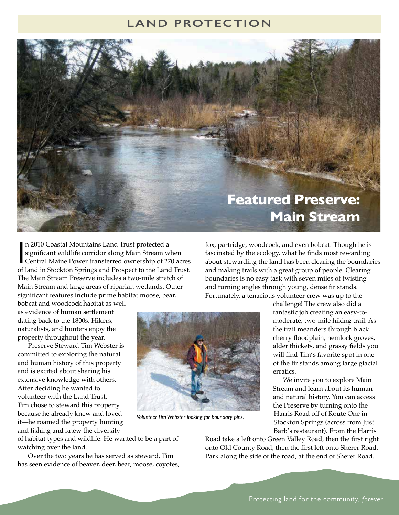## **LAND PROTECTION**



n 2010 Coastal Mountains Land Trust protected a<br>significant wildlife corridor along Main Stream when<br>Central Maine Power transferred ownership of 270 acres<br>of land in Stockton Springs and Prospect to the Land Trust. n 2010 Coastal Mountains Land Trust protected a significant wildlife corridor along Main Stream when Central Maine Power transferred ownership of 270 acres The Main Stream Preserve includes a two-mile stretch of Main Stream and large areas of riparian wetlands. Other significant features include prime habitat moose, bear,

bobcat and woodcock habitat as well as evidence of human settlement dating back to the 1800s. Hikers, naturalists, and hunters enjoy the property throughout the year.

Preserve Steward Tim Webster is committed to exploring the natural and human history of this property and is excited about sharing his extensive knowledge with others. After deciding he wanted to volunteer with the Land Trust, Tim chose to steward this property because he already knew and loved it—he roamed the property hunting and fishing and knew the diversity



*Volunteer Tim Webster looking for boundary pins.*

and making trails with a great group of people. Clearing boundaries is no easy task with seven miles of twisting and turning angles through young, dense fir stands. Fortunately, a tenacious volunteer crew was up to the challenge! The crew also did a fantastic job creating an easy-tomoderate, two-mile hiking trail. As

fox, partridge, woodcock, and even bobcat. Though he is fascinated by the ecology, what he finds most rewarding about stewarding the land has been clearing the boundaries

> the trail meanders through black cherry floodplain, hemlock groves, alder thickets, and grassy fields you will find Tim's favorite spot in one of the fir stands among large glacial erratics.

 We invite you to explore Main Stream and learn about its human and natural history. You can access the Preserve by turning onto the Harris Road off of Route One in Stockton Springs (across from Just Barb's restaurant). From the Harris

of habitat types and wildlife. He wanted to be a part of watching over the land.

Over the two years he has served as steward, Tim has seen evidence of beaver, deer, bear, moose, coyotes, Road take a left onto Green Valley Road, then the first right onto Old County Road, then the first left onto Sherer Road. Park along the side of the road, at the end of Sherer Road.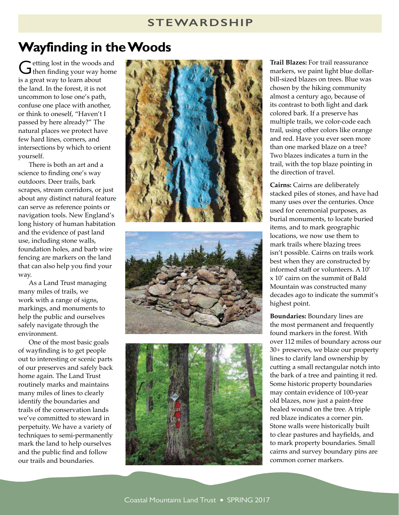### **STEWARDSHIP**

# **Wayfinding in the Woods**

Getting lost in the woods and<br>G then finding your way home is a great way to learn about the land. In the forest, it is not uncommon to lose one's path, confuse one place with another, or think to oneself, "Haven't I passed by here already?" The natural places we protect have few hard lines, corners, and intersections by which to orient yourself.

There is both an art and a science to finding one's way outdoors. Deer trails, bark scrapes, stream corridors, or just about any distinct natural feature can serve as reference points or navigation tools. New England's long history of human habitation and the evidence of past land use, including stone walls, foundation holes, and barb wire fencing are markers on the land that can also help you find your way.

As a Land Trust managing many miles of trails, we work with a range of signs, markings, and monuments to help the public and ourselves safely navigate through the environment.

One of the most basic goals of wayfinding is to get people out to interesting or scenic parts of our preserves and safely back home again. The Land Trust routinely marks and maintains many miles of lines to clearly identify the boundaries and trails of the conservation lands we've committed to steward in perpetuity. We have a variety of techniques to semi-permanently mark the land to help ourselves and the public find and follow our trails and boundaries.







**Trail Blazes:** For trail reassurance markers, we paint light blue dollarbill-sized blazes on trees. Blue was chosen by the hiking community almost a century ago, because of its contrast to both light and dark colored bark. If a preserve has multiple trails, we color-code each trail, using other colors like orange and red. Have you ever seen more than one marked blaze on a tree? Two blazes indicates a turn in the trail, with the top blaze pointing in the direction of travel.

**Cairns:** Cairns are deliberately stacked piles of stones, and have had many uses over the centuries. Once used for ceremonial purposes, as burial monuments, to locate buried items, and to mark geographic locations, we now use them to mark trails where blazing trees isn't possible. Cairns on trails work best when they are constructed by informed staff or volunteers. A 10' x 10' cairn on the summit of Bald Mountain was constructed many decades ago to indicate the summit's highest point.

**Boundaries:** Boundary lines are the most permanent and frequently found markers in the forest. With over 112 miles of boundary across our 30+ preserves, we blaze our property lines to clarify land ownership by cutting a small rectangular notch into the bark of a tree and painting it red. Some historic property boundaries may contain evidence of 100-year old blazes, now just a paint-free healed wound on the tree. A triple red blaze indicates a corner pin. Stone walls were historically built to clear pastures and hayfields, and to mark property boundaries. Small cairns and survey boundary pins are common corner markers.